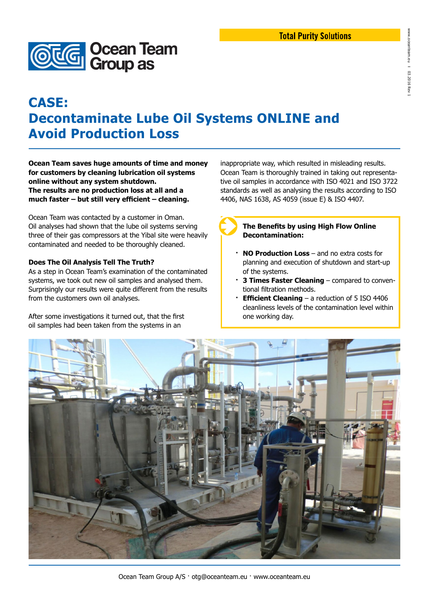

# **CASE: Decontaminate Lube Oil Systems ONLINE and Avoid Production Loss**

**Ocean Team saves huge amounts of time and money for customers by cleaning lubrication oil systems online without any system shutdown. The results are no production loss at all and a much faster – but still very efficient – cleaning.**

Ocean Team was contacted by a customer in Oman. Oil analyses had shown that the lube oil systems serving three of their gas compressors at the Yibal site were heavily contaminated and needed to be thoroughly cleaned.

#### **Does The Oil Analysis Tell The Truth?**

As a step in Ocean Team's examination of the contaminated systems, we took out new oil samples and analysed them. Surprisingly our results were quite different from the results from the customers own oil analyses.

After some investigations it turned out, that the first oil samples had been taken from the systems in an

inappropriate way, which resulted in misleading results. Ocean Team is thoroughly trained in taking out representative oil samples in accordance with ISO 4021 and ISO 3722 standards as well as analysing the results according to ISO 4406, NAS 1638, AS 4059 (issue E) & ISO 4407.

**The Benefits by using High Flow Online Decontamination:**

- **· NO Production Loss**  and no extra costs for planning and execution of shutdown and start-up of the systems.
- **· 3 Times Faster Cleaning**  compared to conventional filtration methods.
- **Efficient Cleaning** a reduction of 5 ISO 4406 cleanliness levels of the contamination level within one working day.



Ocean Team Group A/S · otg@oceanteam.eu · www.oceanteam.eu